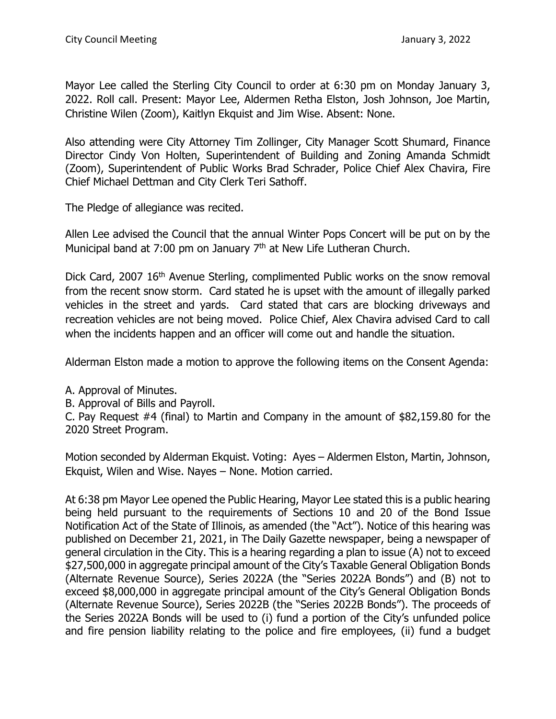Mayor Lee called the Sterling City Council to order at 6:30 pm on Monday January 3, 2022. Roll call. Present: Mayor Lee, Aldermen Retha Elston, Josh Johnson, Joe Martin, Christine Wilen (Zoom), Kaitlyn Ekquist and Jim Wise. Absent: None.

Also attending were City Attorney Tim Zollinger, City Manager Scott Shumard, Finance Director Cindy Von Holten, Superintendent of Building and Zoning Amanda Schmidt (Zoom), Superintendent of Public Works Brad Schrader, Police Chief Alex Chavira, Fire Chief Michael Dettman and City Clerk Teri Sathoff.

The Pledge of allegiance was recited.

Allen Lee advised the Council that the annual Winter Pops Concert will be put on by the Municipal band at 7:00 pm on January  $7<sup>th</sup>$  at New Life Lutheran Church.

Dick Card, 2007 16<sup>th</sup> Avenue Sterling, complimented Public works on the snow removal from the recent snow storm. Card stated he is upset with the amount of illegally parked vehicles in the street and yards. Card stated that cars are blocking driveways and recreation vehicles are not being moved. Police Chief, Alex Chavira advised Card to call when the incidents happen and an officer will come out and handle the situation.

Alderman Elston made a motion to approve the following items on the Consent Agenda:

- A. Approval of Minutes.
- B. Approval of Bills and Payroll.

C. Pay Request #4 (final) to Martin and Company in the amount of \$82,159.80 for the 2020 Street Program.

Motion seconded by Alderman Ekquist. Voting: Ayes – Aldermen Elston, Martin, Johnson, Ekquist, Wilen and Wise. Nayes – None. Motion carried.

At 6:38 pm Mayor Lee opened the Public Hearing, Mayor Lee stated this is a public hearing being held pursuant to the requirements of Sections 10 and 20 of the Bond Issue Notification Act of the State of Illinois, as amended (the "Act"). Notice of this hearing was published on December 21, 2021, in The Daily Gazette newspaper, being a newspaper of general circulation in the City. This is a hearing regarding a plan to issue (A) not to exceed \$27,500,000 in aggregate principal amount of the City's Taxable General Obligation Bonds (Alternate Revenue Source), Series 2022A (the "Series 2022A Bonds") and (B) not to exceed \$8,000,000 in aggregate principal amount of the City's General Obligation Bonds (Alternate Revenue Source), Series 2022B (the "Series 2022B Bonds"). The proceeds of the Series 2022A Bonds will be used to (i) fund a portion of the City's unfunded police and fire pension liability relating to the police and fire employees, (ii) fund a budget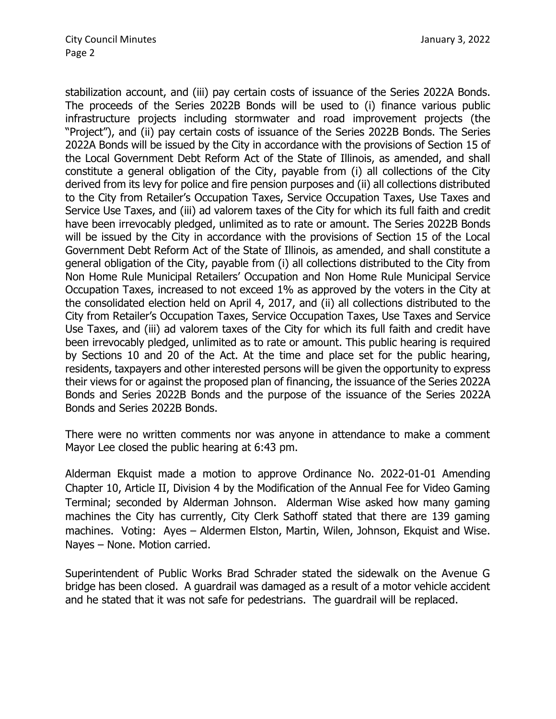stabilization account, and (iii) pay certain costs of issuance of the Series 2022A Bonds. The proceeds of the Series 2022B Bonds will be used to (i) finance various public infrastructure projects including stormwater and road improvement projects (the "Project"), and (ii) pay certain costs of issuance of the Series 2022B Bonds. The Series 2022A Bonds will be issued by the City in accordance with the provisions of Section 15 of the Local Government Debt Reform Act of the State of Illinois, as amended, and shall constitute a general obligation of the City, payable from (i) all collections of the City derived from its levy for police and fire pension purposes and (ii) all collections distributed to the City from Retailer's Occupation Taxes, Service Occupation Taxes, Use Taxes and Service Use Taxes, and (iii) ad valorem taxes of the City for which its full faith and credit have been irrevocably pledged, unlimited as to rate or amount. The Series 2022B Bonds will be issued by the City in accordance with the provisions of Section 15 of the Local Government Debt Reform Act of the State of Illinois, as amended, and shall constitute a general obligation of the City, payable from (i) all collections distributed to the City from Non Home Rule Municipal Retailers' Occupation and Non Home Rule Municipal Service Occupation Taxes, increased to not exceed 1% as approved by the voters in the City at the consolidated election held on April 4, 2017, and (ii) all collections distributed to the City from Retailer's Occupation Taxes, Service Occupation Taxes, Use Taxes and Service Use Taxes, and (iii) ad valorem taxes of the City for which its full faith and credit have been irrevocably pledged, unlimited as to rate or amount. This public hearing is required by Sections 10 and 20 of the Act. At the time and place set for the public hearing, residents, taxpayers and other interested persons will be given the opportunity to express their views for or against the proposed plan of financing, the issuance of the Series 2022A Bonds and Series 2022B Bonds and the purpose of the issuance of the Series 2022A Bonds and Series 2022B Bonds.

There were no written comments nor was anyone in attendance to make a comment Mayor Lee closed the public hearing at 6:43 pm.

Alderman Ekquist made a motion to approve Ordinance No. 2022-01-01 Amending Chapter 10, Article II, Division 4 by the Modification of the Annual Fee for Video Gaming Terminal; seconded by Alderman Johnson. Alderman Wise asked how many gaming machines the City has currently, City Clerk Sathoff stated that there are 139 gaming machines. Voting: Ayes – Aldermen Elston, Martin, Wilen, Johnson, Ekquist and Wise. Nayes – None. Motion carried.

Superintendent of Public Works Brad Schrader stated the sidewalk on the Avenue G bridge has been closed. A guardrail was damaged as a result of a motor vehicle accident and he stated that it was not safe for pedestrians. The guardrail will be replaced.